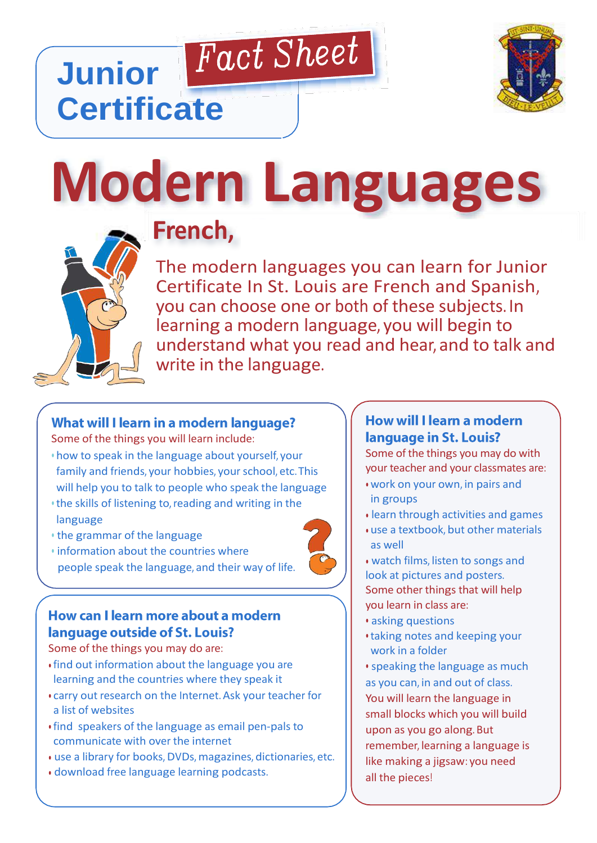

**Modern Languages**

Fact Sheet

# **French,**

The modern languages you can learn for Junior The modern languages you can learn for Junior Certificate In St. Louis are French and Spanish, you can choose one or both of these subjects. In learning a modern language, you will begin to understand what you read and hear, and to talk and write in the language.

# What will I learn in a modern language?

Some of the things you will learn include:

- how to speak in the language about yourself, your family and friends, your hobbies, your school, etc.This will help you to talk to people who speak the language
- the skills of listening to,reading and writing in the language
- the grammar of the language

**Junior** 

**Certificate**

• information about the countries where people speak the language, and their way of life.

## How can I learn more about a modern language outside of St. Louis?

Some of the things you may do are:

- find out information about the language you are learning and the countries where they speak it
- carry out research on the Internet. Ask your teacher for a list of websites
- find speakers of the language as email pen-pals to communicate with over the internet
- use a library for books, DVDs, magazines, dictionaries, etc.
- download free language learning podcasts.

# **How will I learn a modern** language in St. Louis?

Some of the things you may do with your teacher and your classmates are:

- work on your own, in pairs and in groups
- learn through activities and games
- use a textbook, but other materials as well
- watch films, listen to songs and look at pictures and posters. Some other things that will help you learn in class are:
- asking questions
- taking notes and keeping your work in a folder
- speaking the language as much as you can, in and out of class. You will learn the language in small blocks which you will build upon as you go along. But remember, learning a language is like making a jigsaw: you need all the pieces!